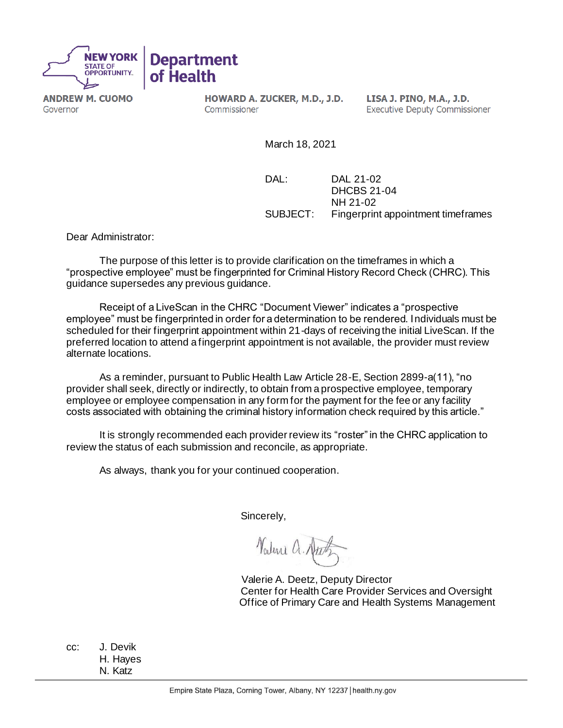

**ANDREW M. CUOMO** Governor

HOWARD A. ZUCKER, M.D., J.D. Commissioner

LISA J. PINO, M.A., J.D. **Executive Deputy Commissioner** 

March 18, 2021

DAL: DAL 21-02 DHCBS 21-04 NH 21-02 SUBJECT: Fingerprint appointment timeframes

Dear Administrator:

The purpose of this letter is to provide clarification on the timeframes in which a "prospective employee" must be fingerprinted for Criminal History Record Check (CHRC). This guidance supersedes any previous guidance.

Receipt of a LiveScan in the CHRC "Document Viewer" indicates a "prospective employee" must be fingerprinted in order for a determination to be rendered. Individuals must be scheduled for their fingerprint appointment within 21-days of receiving the initial LiveScan. If the preferred location to attend a fingerprint appointment is not available, the provider must review alternate locations.

As a reminder, pursuant to Public Health Law Article 28-E, Section 2899-a(11), "no provider shall seek, directly or indirectly, to obtain from a prospective employee, temporary employee or employee compensation in any form for the payment for the fee or any facility costs associated with obtaining the criminal history information check required by this article."

It is strongly recommended each provider review its "roster" in the CHRC application to review the status of each submission and reconcile, as appropriate.

As always, thank you for your continued cooperation.

Sincerely,

Nature a.

 Valerie A. Deetz, Deputy Director Center for Health Care Provider Services and Oversight Office of Primary Care and Health Systems Management

cc: J. Devik H. Hayes N. Katz